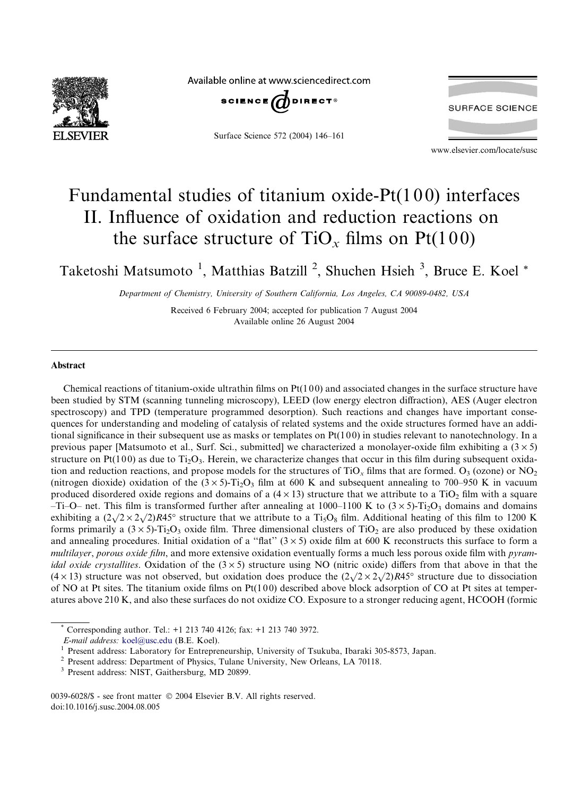

Available online at www.sciencedirect.com



Surface Science 572 (2004) 146–161



www.elsevier.com/locate/susc

# Fundamental studies of titanium oxide-Pt(100) interfaces II. Influence of oxidation and reduction reactions on the surface structure of  $TiO<sub>x</sub>$  films on Pt(100)

Taketoshi Matsumoto<sup>1</sup>, Matthias Batzill<sup>2</sup>, Shuchen Hsieh<sup>3</sup>, Bruce E. Koel<sup>\*</sup>

Department of Chemistry, University of Southern California, Los Angeles, CA 90089-0482, USA

Received 6 February 2004; accepted for publication 7 August 2004 Available online 26 August 2004

#### Abstract

Chemical reactions of titanium-oxide ultrathin films on  $Pt(100)$  and associated changes in the surface structure have been studied by STM (scanning tunneling microscopy), LEED (low energy electron diffraction), AES (Auger electron spectroscopy) and TPD (temperature programmed desorption). Such reactions and changes have important consequences for understanding and modeling of catalysis of related systems and the oxide structures formed have an additional significance in their subsequent use as masks or templates on  $Pt(100)$  in studies relevant to nanotechnology. In a previous paper [Matsumoto et al., Surf. Sci., submitted] we characterized a monolayer-oxide film exhibiting a  $(3 \times 5)$ structure on Pt(100) as due to Ti<sub>2</sub>O<sub>3</sub>. Herein, we characterize changes that occur in this film during subsequent oxidation and reduction reactions, and propose models for the structures of TiO<sub>x</sub> films that are formed. O<sub>3</sub> (ozone) or NO<sub>2</sub> (nitrogen dioxide) oxidation of the  $(3 \times 5)$ -Ti<sub>2</sub>O<sub>3</sub> film at 600 K and subsequent annealing to 700–950 K in vacuum produced disordered oxide regions and domains of a  $(4 \times 13)$  structure that we attribute to a TiO<sub>2</sub> film with a square  $-Ti$ –O– net. This film is transformed further after annealing at 1000–1100 K to  $(3 \times 5)$ -Ti<sub>2</sub>O<sub>3</sub> domains and domains exhibiting a  $(2\sqrt{2} \times 2\sqrt{2})R45^\circ$  structure that we attribute to a T<sub>i5</sub>O<sub>8</sub> film. Additional heating of this film to 1200 K forms primarily a  $(3 \times 5)$ -Ti<sub>2</sub>O<sub>3</sub> oxide film. Three dimensional clusters of TiO<sub>2</sub> are also produced by these oxidation and annealing procedures. Initial oxidation of a "flat"  $(3 \times 5)$  oxide film at 600 K reconstructs this surface to form a multilayer, porous oxide film, and more extensive oxidation eventually forms a much less porous oxide film with pyram*idal oxide crystallites.* Oxidation of the  $(3 \times 5)$  structure using NO (nitric oxide) differs from that above in that the  $(4 \times 13)$  structure was not observed, but oxidation does produce the  $(2\sqrt{2} \times 2\sqrt{2})R45^\circ$  structure due to dissociation of NO at Pt sites. The titanium oxide films on  $Pt(100)$  described above block adsorption of CO at Pt sites at temperatures above 210 K, and also these surfaces do not oxidize CO. Exposure to a stronger reducing agent, HCOOH (formic

\* Corresponding author. Tel.:  $+1$  213 740 4126; fax:  $+1$  213 740 3972. *E-mail address: koel@usc.edu* (B.E. Koel).

<sup>1</sup> Present address: Laboratory for Entrepreneurship, University of Tsukuba, Ibaraki 305-8573, Japan.<br><sup>2</sup> Present address: Department of Physics, Tulane University, New Orleans, LA 70118.<br><sup>3</sup> Present address: NIST, Gaithe

0039-6028/\$ - see front matter © 2004 Elsevier B.V. All rights reserved. doi:10.1016/j.susc.2004.08.005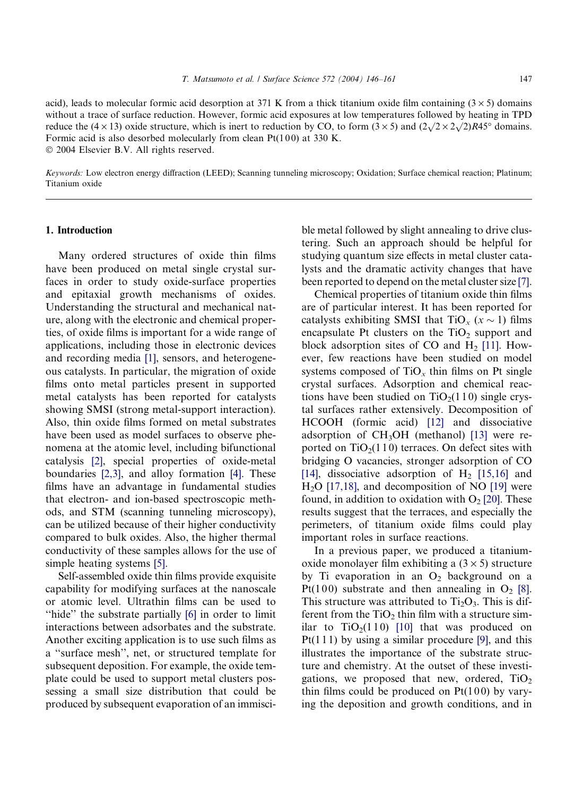acid), leads to molecular formic acid desorption at 371 K from a thick titanium oxide film containing ( $3 \times 5$ ) domains without a trace of surface reduction. However, formic acid exposures at low temperatures followed by heating in TPD reduce the  $(4 \times 13)$  oxide structure, which is inert to reduction by CO, to form  $(3 \times 5)$  and  $(2\sqrt{2} \times 2\sqrt{2})R45^\circ$  domains. Formic acid is also desorbed molecularly from clean  $Pt(100)$  at 330 K.  $© 2004 Elsevier B.V. All rights reserved.$ 

Keywords: Low electron energy diffraction (LEED); Scanning tunneling microscopy; Oxidation; Surface chemical reaction; Platinum; Titanium oxide

#### 1. Introduction

Many ordered structures of oxide thin films have been produced on metal single crystal surfaces in order to study oxide-surface properties and epitaxial growth mechanisms of oxides. Understanding the structural and mechanical nature, along with the electronic and chemical properties, of oxide films is important for a wide range of applications, including those in electronic devices and recording media [\[1\],](#page-14-0) sensors, and heterogeneous catalysts. In particular, the migration of oxide films onto metal particles present in supported metal catalysts has been reported for catalysts showing SMSI (strong metal-support interaction). Also, thin oxide films formed on metal substrates have been used as model surfaces to observe phenomena at the atomic level, including bifunctional catalysis [\[2\],](#page-14-0) special properties of oxide-metal boundaries [\[2,3\],](#page-14-0) and alloy formation [\[4\]](#page-14-0). These films have an advantage in fundamental studies that electron- and ion-based spectroscopic methods, and STM (scanning tunneling microscopy), can be utilized because of their higher conductivity compared to bulk oxides. Also, the higher thermal conductivity of these samples allows for the use of simple heating systems [\[5\]](#page-14-0).

Self-assembled oxide thin films provide exquisite capability for modifying surfaces at the nanoscale or atomic level. Ultrathin films can be used to "hide" the substrate partially [\[6\]](#page-14-0) in order to limit interactions between adsorbates and the substrate. Another exciting application is to use such films as a ''surface mesh'', net, or structured template for subsequent deposition. For example, the oxide template could be used to support metal clusters possessing a small size distribution that could be produced by subsequent evaporation of an immiscible metal followed by slight annealing to drive clustering. Such an approach should be helpful for studying quantum size effects in metal cluster catalysts and the dramatic activity changes that have been reported to depend on the metal cluster size [\[7\]](#page-14-0).

Chemical properties of titanium oxide thin films are of particular interest. It has been reported for catalysts exhibiting SMSI that  $TiO_x$  ( $x \sim 1$ ) films encapsulate Pt clusters on the  $TiO<sub>2</sub>$  support and block adsorption sites of CO and  $H<sub>2</sub>$  [\[11\].](#page-14-0) However, few reactions have been studied on model systems composed of  $TiO<sub>x</sub>$  thin films on Pt single crystal surfaces. Adsorption and chemical reactions have been studied on  $TiO<sub>2</sub>(110)$  single crystal surfaces rather extensively. Decomposition of HCOOH (formic acid) [\[12\]](#page-14-0) and dissociative adsorption of  $CH<sub>3</sub>OH$  (methanol) [\[13\]](#page-14-0) were reported on  $TiO<sub>2</sub>(110)$  terraces. On defect sites with bridging O vacancies, stronger adsorption of CO [\[14\]](#page-14-0), dissociative adsorption of  $H<sub>2</sub>$  [\[15,16\]](#page-14-0) and  $H<sub>2</sub>O$  [\[17,18\]](#page-14-0), and decomposition of NO [\[19\]](#page-14-0) were found, in addition to oxidation with  $O<sub>2</sub>$  [\[20\].](#page-14-0) These results suggest that the terraces, and especially the perimeters, of titanium oxide films could play important roles in surface reactions.

In a previous paper, we produced a titaniumoxide monolayer film exhibiting a  $(3 \times 5)$  structure by Ti evaporation in an  $O_2$  background on a Pt(100) substrate and then annealing in  $O_2$  [\[8\]](#page-14-0). This structure was attributed to  $Ti<sub>2</sub>O<sub>3</sub>$ . This is different from the  $TiO<sub>2</sub>$  thin film with a structure similar to  $TiO<sub>2</sub>(110)$  [\[10\]](#page-14-0) that was produced on  $Pt(111)$  by using a similar procedure [\[9\],](#page-14-0) and this illustrates the importance of the substrate structure and chemistry. At the outset of these investigations, we proposed that new, ordered,  $TiO<sub>2</sub>$ thin films could be produced on  $Pt(100)$  by varying the deposition and growth conditions, and in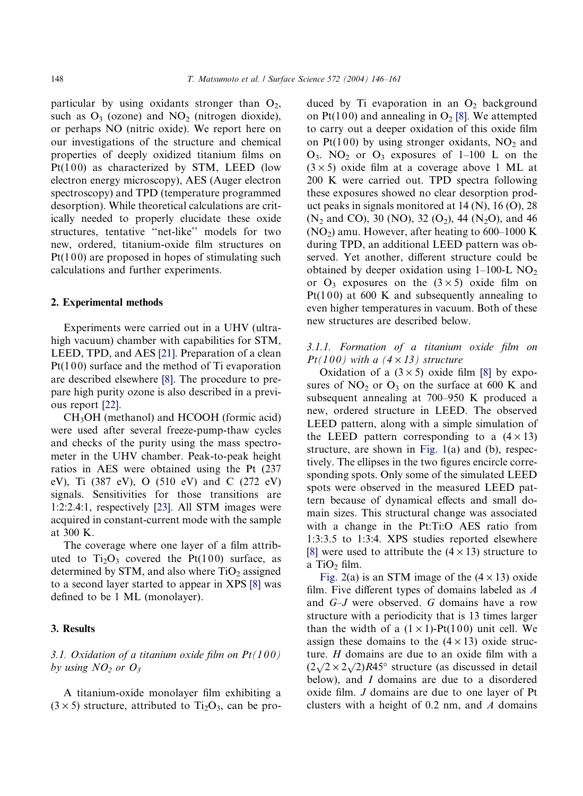particular by using oxidants stronger than  $O_2$ , such as  $O_3$  (ozone) and  $NO_2$  (nitrogen dioxide), or perhaps NO (nitric oxide). We report here on our investigations of the structure and chemical properties of deeply oxidized titanium films on Pt(100) as characterized by STM, LEED (low electron energy microscopy), AES (Auger electron spectroscopy) and TPD (temperature programmed desorption). While theoretical calculations are critically needed to properly elucidate these oxide structures, tentative ''net-like'' models for two new, ordered, titanium-oxide film structures on  $Pt(100)$  are proposed in hopes of stimulating such calculations and further experiments.

## 2. Experimental methods

Experiments were carried out in a UHV (ultrahigh vacuum) chamber with capabilities for STM, LEED, TPD, and AES [\[21\]](#page-14-0). Preparation of a clean  $Pt(100)$  surface and the method of Ti evaporation are described elsewhere [\[8\].](#page-14-0) The procedure to prepare high purity ozone is also described in a previous report [\[22\].](#page-14-0)

CH3OH (methanol) and HCOOH (formic acid) were used after several freeze-pump-thaw cycles and checks of the purity using the mass spectrometer in the UHV chamber. Peak-to-peak height ratios in AES were obtained using the Pt (237 eV), Ti (387 eV), O (510 eV) and C (272 eV) signals. Sensitivities for those transitions are 1:2:2.4:1, respectively [\[23\]](#page-14-0). All STM images were acquired in constant-current mode with the sample at 300 K.

The coverage where one layer of a film attributed to  $Ti<sub>2</sub>O<sub>3</sub>$  covered the Pt(100) surface, as determined by STM, and also where  $TiO<sub>2</sub>$  assigned to a second layer started to appear in XPS [\[8\]](#page-14-0) was defined to be 1 ML (monolayer).

## 3. Results

## 3.1. Oxidation of a titanium oxide film on  $Pt(100)$ by using  $NO<sub>2</sub>$  or  $O<sub>3</sub>$

A titanium-oxide monolayer film exhibiting a  $(3 \times 5)$  structure, attributed to Ti<sub>2</sub>O<sub>3</sub>, can be produced by Ti evaporation in an  $O_2$  background on Pt(100) and annealing in  $O_2$  [\[8\].](#page-14-0) We attempted to carry out a deeper oxidation of this oxide film on Pt(100) by using stronger oxidants,  $NO<sub>2</sub>$  and  $O_3$ . NO<sub>2</sub> or  $O_3$  exposures of 1–100 L on the  $(3 \times 5)$  oxide film at a coverage above 1 ML at 200 K were carried out. TPD spectra following these exposures showed no clear desorption product peaks in signals monitored at 14 (N), 16 (O), 28  $(N_2 \text{ and } CO)$ , 30 (NO), 32 (O<sub>2</sub>), 44 (N<sub>2</sub>O), and 46  $(NO<sub>2</sub>)$  amu. However, after heating to 600–1000 K during TPD, an additional LEED pattern was observed. Yet another, different structure could be obtained by deeper oxidation using  $1-100-L$  NO<sub>2</sub> or  $O_3$  exposures on the  $(3 \times 5)$  oxide film on Pt(100) at 600 K and subsequently annealing to even higher temperatures in vacuum. Both of these new structures are described below.

## 3.1.1. Formation of a titanium oxide film on  $Pt(100)$  with a  $(4 \times 13)$  structure

Oxidation of a  $(3 \times 5)$  oxide film [\[8\]](#page-14-0) by exposures of  $NO<sub>2</sub>$  or  $O<sub>3</sub>$  on the surface at 600 K and subsequent annealing at 700–950 K produced a new, ordered structure in LEED. The observed LEED pattern, along with a simple simulation of the LEED pattern corresponding to a  $(4 \times 13)$ structure, are shown in [Fig. 1\(](#page-3-0)a) and (b), respectively. The ellipses in the two figures encircle corresponding spots. Only some of the simulated LEED spots were observed in the measured LEED pattern because of dynamical effects and small domain sizes. This structural change was associated with a change in the Pt:Ti:O AES ratio from 1:3:3.5 to 1:3:4. XPS studies reported elsewhere [\[8\]](#page-14-0) were used to attribute the  $(4 \times 13)$  structure to a TiO<sub>2</sub> film.

[Fig. 2\(](#page-3-0)a) is an STM image of the  $(4 \times 13)$  oxide film. Five different types of domains labeled as  $A$ and G–J were observed. G domains have a row structure with a periodicity that is 13 times larger than the width of a  $(1 \times 1)$ -Pt $(100)$  unit cell. We assign these domains to the  $(4 \times 13)$  oxide structure. H domains are due to an oxide film with a ture. *H* domains are due to an oxide finit with a  $(2\sqrt{2} \times 2\sqrt{2})R45^{\circ}$  structure (as discussed in detail below), and I domains are due to a disordered oxide film. J domains are due to one layer of Pt clusters with a height of  $0.2$  nm, and  $A$  domains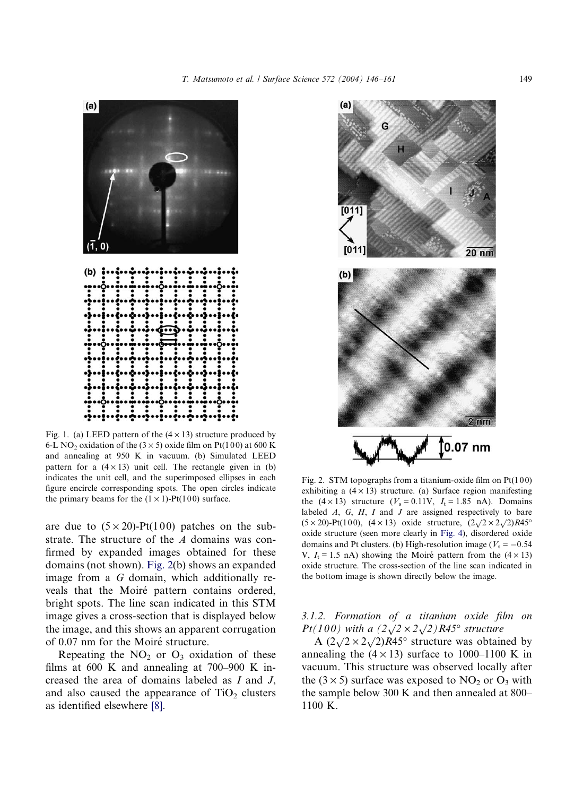T. Matsumoto et al. / Surface Science 572 (2004) 146–161 149

<span id="page-3-0"></span>

Fig. 1. (a) LEED pattern of the  $(4 \times 13)$  structure produced by 6-L NO<sub>2</sub> oxidation of the  $(3 \times 5)$  oxide film on Pt(100) at 600 K and annealing at 950 K in vacuum. (b) Simulated LEED pattern for a  $(4 \times 13)$  unit cell. The rectangle given in (b) indicates the unit cell, and the superimposed ellipses in each figure encircle corresponding spots. The open circles indicate the primary beams for the  $(1 \times 1)$ -Pt $(100)$  surface.

are due to  $(5 \times 20)$ -Pt $(100)$  patches on the substrate. The structure of the A domains was confirmed by expanded images obtained for these domains (not shown). Fig. 2(b) shows an expanded image from a G domain, which additionally reveals that the Moiré pattern contains ordered, bright spots. The line scan indicated in this STM image gives a cross-section that is displayed below the image, and this shows an apparent corrugation of 0.07 nm for the Moiré structure.

Repeating the  $NO<sub>2</sub>$  or  $O<sub>3</sub>$  oxidation of these films at 600 K and annealing at 700–900 K increased the area of domains labeled as I and J, and also caused the appearance of  $TiO<sub>2</sub>$  clusters as identified elsewhere [\[8\].](#page-14-0)



Fig. 2. STM topographs from a titanium-oxide film on  $Pt(100)$ exhibiting a  $(4 \times 13)$  structure. (a) Surface region manifesting the  $(4 \times 13)$  structure  $(V_s = 0.11V, I_t = 1.85 \text{ nA})$ . Domains labeled  $A$ ,  $G$ ,  $H$ ,  $I$  and  $J$  are assigned respectively to bare (5 × 20)-Pt(100), (4 × 13) oxide structure,  $(2\sqrt{2} \times 2\sqrt{2})R45^\circ$ oxide structure (seen more clearly in [Fig. 4\)](#page-4-0), disordered oxide domains and Pt clusters. (b) High-resolution image ( $V_s = -0.54$ V,  $I_t = 1.5$  nA) showing the Moiré pattern from the  $(4 \times 13)$ oxide structure. The cross-section of the line scan indicated in the bottom image is shown directly below the image.

3.1.2. Formation of a titanium oxide film on  $Pt(100)$  with a  $\left(2\sqrt{2} \times 2\sqrt{2}\right)$  R45° structure

 $A (2\sqrt{2} \times 2\sqrt{2})R45^\circ$  structure was obtained by annealing the  $(4 \times 13)$  surface to 1000–1100 K in vacuum. This structure was observed locally after the ( $3 \times 5$ ) surface was exposed to NO<sub>2</sub> or O<sub>3</sub> with the sample below 300 K and then annealed at 800– 1100 K.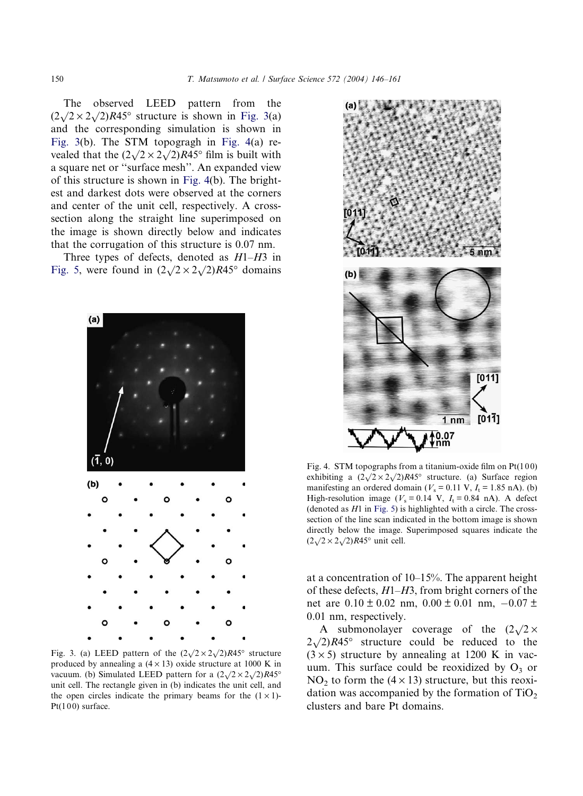<span id="page-4-0"></span>The observed LEED pattern from the  $(2\sqrt{2} \times 2\sqrt{2})R45^{\circ}$  structure is shown in Fig. 3(a) and the corresponding simulation is shown in Fig. 3(b). The STM topogragh in Fig. 4(a) revealed that the  $(2\sqrt{2} \times 2\sqrt{2})R45^\circ$  film is built with a square net or ''surface mesh''. An expanded view of this structure is shown in Fig. 4(b). The brightest and darkest dots were observed at the corners and center of the unit cell, respectively. A crosssection along the straight line superimposed on the image is shown directly below and indicates that the corrugation of this structure is 0.07 nm.

Three types of defects, denoted as  $H1-H3$  in [Fig. 5,](#page-5-0) were found in  $(2\sqrt{2} \times 2\sqrt{2})R45^\circ$  domains



Fig. 3. (a) LEED pattern of the  $(2\sqrt{2} \times 2\sqrt{2})R45^{\circ}$  structure produced by annealing a  $(4 \times 13)$  oxide structure at 1000 K in vacuum. (b) Simulated LEED pattern for a  $(2\sqrt{2} \times 2\sqrt{2})R45^\circ$ unit cell. The rectangle given in (b) indicates the unit cell, and the open circles indicate the primary beams for the  $(1 \times 1)$ - $Pt(100)$  surface.



Fig. 4. STM topographs from a titanium-oxide film on  $Pt(100)$ exhibiting a  $(2\sqrt{2} \times 2\sqrt{2})R45^\circ$  structure. (a) Surface region manifesting an ordered domain ( $V_s = 0.11$  V,  $I_t = 1.85$  nA). (b) High-resolution image ( $V_s = 0.14$  V,  $I_t = 0.84$  nA). A defect (denoted as  $H1$  in [Fig. 5\)](#page-5-0) is highlighted with a circle. The crosssection of the line scan indicated in the bottom image is shown directly below the image. Superimposed squares indicate the  $(2\sqrt{2} \times 2\sqrt{2})R45^\circ$  unit cell.

at a concentration of 10–15%. The apparent height of these defects,  $H1-H3$ , from bright corners of the net are  $0.10 \pm 0.02$  nm,  $0.00 \pm 0.01$  nm,  $-0.07 \pm$ 0.01 nm, respectively.

A submonolayer coverage of the  $(2\sqrt{2} \times$  $2\sqrt{2}$ ,  $R45^\circ$  structure could be reduced to the  $(3 \times 5)$  structure by annealing at 1200 K in vacuum. This surface could be reoxidized by  $O_3$  or NO<sub>2</sub> to form the  $(4 \times 13)$  structure, but this reoxidation was accompanied by the formation of  $TiO<sub>2</sub>$ clusters and bare Pt domains.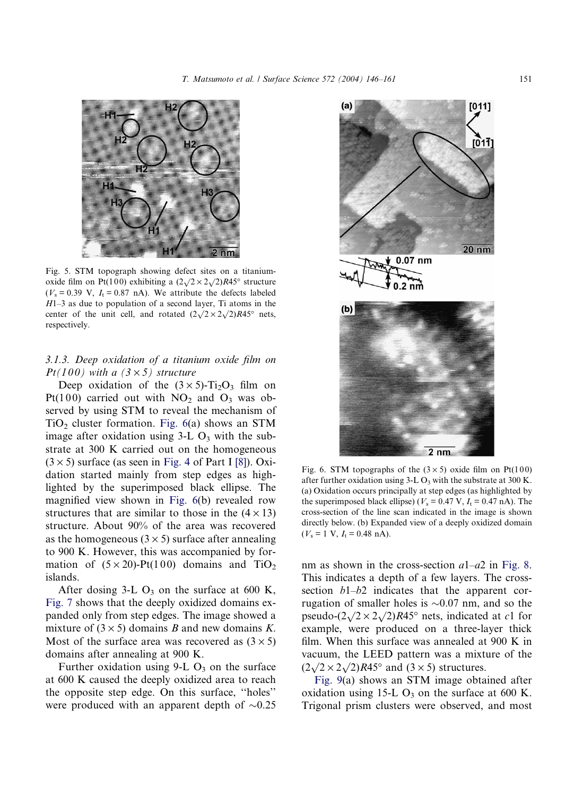<span id="page-5-0"></span>

Fig. 5. STM topograph showing defect sites on a titaniumoxide film on Pt(100) exhibiting a  $(2\sqrt{2} \times 2\sqrt{2})R45^\circ$  structure  $(V_s = 0.39 \text{ V}, I_t = 0.87 \text{ nA})$ . We attribute the defects labeled H1–3 as due to population of a second layer, Ti atoms in the center of the unit cell, and rotated  $(2\sqrt{2} \times 2\sqrt{2})R45^\circ$  nets, respectively.

## 3.1.3. Deep oxidation of a titanium oxide film on  $Pt(100)$  with a  $(3 \times 5)$  structure

Deep oxidation of the  $(3 \times 5)$ -Ti<sub>2</sub>O<sub>3</sub> film on Pt(100) carried out with  $NO<sub>2</sub>$  and  $O<sub>3</sub>$  was observed by using STM to reveal the mechanism of TiO<sub>2</sub> cluster formation. Fig.  $6(a)$  shows an STM image after oxidation using  $3-L O_3$  with the substrate at 300 K carried out on the homogeneous  $(3 \times 5)$  surface (as seen in [Fig. 4](#page-4-0) of Part I [\[8\]](#page-14-0)). Oxidation started mainly from step edges as highlighted by the superimposed black ellipse. The magnified view shown in Fig. 6(b) revealed row structures that are similar to those in the  $(4 \times 13)$ structure. About 90% of the area was recovered as the homogeneous  $(3 \times 5)$  surface after annealing to 900 K. However, this was accompanied by formation of  $(5 \times 20)$ -Pt(100) domains and TiO<sub>2</sub> islands.

After dosing 3-L  $O_3$  on the surface at 600 K, [Fig. 7](#page-6-0) shows that the deeply oxidized domains expanded only from step edges. The image showed a mixture of  $(3 \times 5)$  domains B and new domains K. Most of the surface area was recovered as  $(3 \times 5)$ domains after annealing at 900 K.

Further oxidation using  $9-L O_3$  on the surface at 600 K caused the deeply oxidized area to reach the opposite step edge. On this surface, ''holes'' were produced with an apparent depth of  $\sim 0.25$ 



Fig. 6. STM topographs of the  $(3 \times 5)$  oxide film on Pt(100) after further oxidation using  $3-L O_3$  with the substrate at 300 K. (a) Oxidation occurs principally at step edges (as highlighted by the superimposed black ellipse) ( $V_s = 0.47$  V,  $I_t = 0.47$  nA). The cross-section of the line scan indicated in the image is shown directly below. (b) Expanded view of a deeply oxidized domain  $(V_s = 1 \text{ V}, I_t = 0.48 \text{ nA}).$ 

nm as shown in the cross-section  $a1-a2$  in [Fig. 8](#page-6-0). This indicates a depth of a few layers. The crosssection  $b1-b2$  indicates that the apparent corrugation of smaller holes is  $\sim 0.07$  nm, and so the pseudo- $(2\sqrt{2} \times 2\sqrt{2})R45^\circ$  nets, indicated at c1 for example, were produced on a three-layer thick film. When this surface was annealed at 900 K in vacuum, the LEED pattern was a mixture of the vacuum, the EEED pattern was a mixt

[Fig. 9\(](#page-6-0)a) shows an STM image obtained after oxidation using 15-L  $O_3$  on the surface at 600 K. Trigonal prism clusters were observed, and most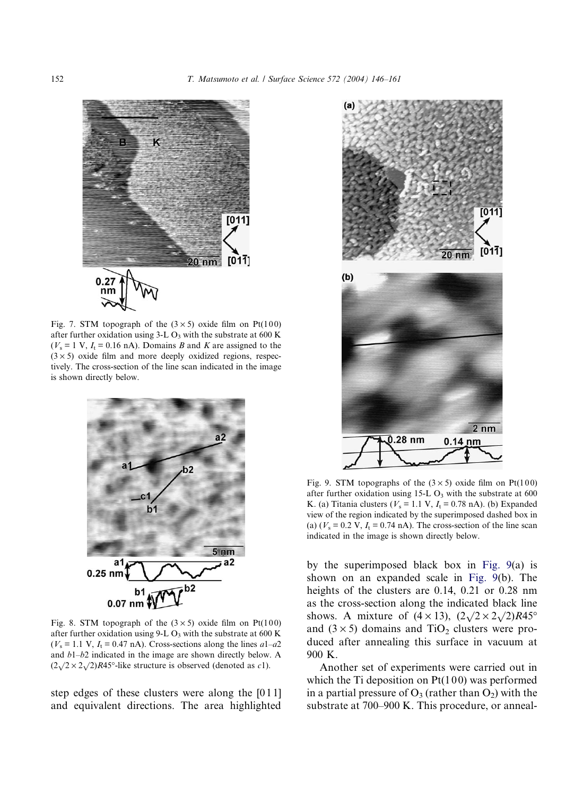<span id="page-6-0"></span>

Fig. 7. STM topograph of the  $(3 \times 5)$  oxide film on Pt(100) after further oxidation using  $3-L O_3$  with the substrate at 600 K  $(V_s = 1 \text{ V}, I_t = 0.16 \text{ nA})$ . Domains *B* and *K* are assigned to the  $(3 \times 5)$  oxide film and more deeply oxidized regions, respectively. The cross-section of the line scan indicated in the image is shown directly below.



Fig. 8. STM topograph of the  $(3 \times 5)$  oxide film on Pt(100) after further oxidation using 9-L  $O_3$  with the substrate at 600 K  $(V<sub>s</sub> = 1.1 V, I<sub>t</sub> = 0.47 nA)$ . Cross-sections along the lines  $a1-a2$ and b1–b2 indicated in the image are shown directly below. A  $(2\sqrt{2} \times 2\sqrt{2})R45^\circ$ -like structure is observed (denoted as *c*1).

step edges of these clusters were along the [0 1 1] and equivalent directions. The area highlighted



Fig. 9. STM topographs of the  $(3 \times 5)$  oxide film on Pt(100) after further oxidation using  $15-L O_3$  with the substrate at 600 K. (a) Titania clusters ( $V_s = 1.1$  V,  $I_t = 0.78$  nA). (b) Expanded view of the region indicated by the superimposed dashed box in (a) ( $V_s$  = 0.2 V,  $I_t$  = 0.74 nA). The cross-section of the line scan indicated in the image is shown directly below.

by the superimposed black box in Fig. 9(a) is shown on an expanded scale in Fig. 9(b). The heights of the clusters are 0.14, 0.21 or 0.28 nm as the cross-section along the indicated black line shows. A mixture of  $(4 \times 13)$ ,  $(2\sqrt{2} \times 2\sqrt{2})R45^\circ$ and  $(3 \times 5)$  domains and TiO<sub>2</sub> clusters were produced after annealing this surface in vacuum at 900 K.

Another set of experiments were carried out in which the Ti deposition on  $Pt(100)$  was performed in a partial pressure of  $O_3$  (rather than  $O_2$ ) with the substrate at 700–900 K. This procedure, or anneal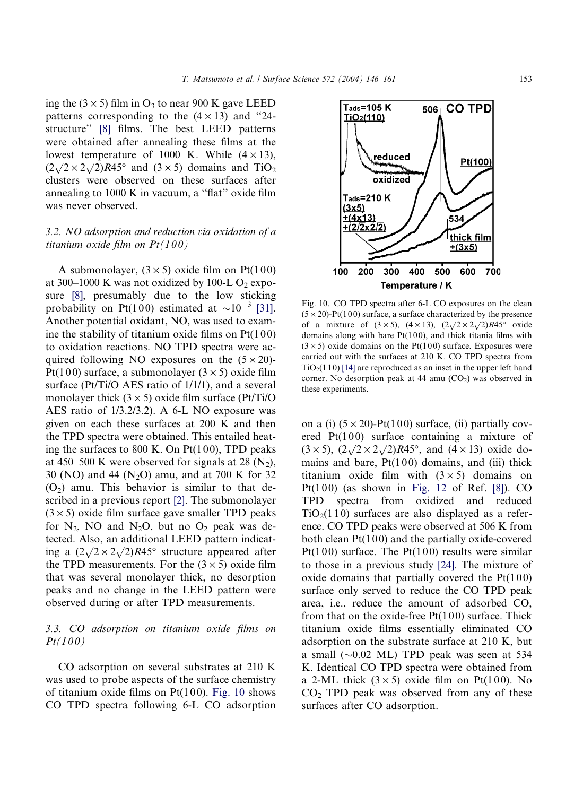ing the  $(3 \times 5)$  film in  $O_3$  to near 900 K gave LEED patterns corresponding to the  $(4 \times 13)$  and "24structure'' [\[8\]](#page-14-0) films. The best LEED patterns were obtained after annealing these films at the lowest temperature of 1000 K. While  $(4 \times 13)$ , towest temperature of 1000 K. While  $(4 \times 13)$ ,<br> $(2\sqrt{2} \times 2\sqrt{2})R45^\circ$  and  $(3 \times 5)$  domains and  $T_1O_2$ clusters were observed on these surfaces after annealing to 1000 K in vacuum, a ''flat'' oxide film was never observed.

## 3.2. NO adsorption and reduction via oxidation of a titanium oxide film on  $Pt(100)$

A submonolayer,  $(3 \times 5)$  oxide film on Pt(100) at 300–1000 K was not oxidized by 100-L  $O_2$  exposure [\[8\]](#page-14-0), presumably due to the low sticking probability on Pt(100) estimated at  $\sim 10^{-3}$  [\[31\]](#page-15-0). Another potential oxidant, NO, was used to examine the stability of titanium oxide films on  $Pt(100)$ to oxidation reactions. NO TPD spectra were acquired following NO exposures on the  $(5 \times 20)$ -Pt(100) surface, a submonolayer  $(3 \times 5)$  oxide film surface (Pt/Ti/O AES ratio of 1/1/1), and a several monolayer thick  $(3 \times 5)$  oxide film surface (Pt/Ti/O AES ratio of 1/3.2/3.2). A 6-L NO exposure was given on each these surfaces at 200 K and then the TPD spectra were obtained. This entailed heating the surfaces to 800 K. On  $Pt(100)$ , TPD peaks at 450–500 K were observed for signals at 28  $(N_2)$ , 30 (NO) and 44 (N<sub>2</sub>O) amu, and at 700 K for 32  $(O<sub>2</sub>)$  amu. This behavior is similar to that described in a previous report [\[2\].](#page-14-0) The submonolayer  $(3 \times 5)$  oxide film surface gave smaller TPD peaks for  $N_2$ , NO and  $N_2O$ , but no  $O_2$  peak was detected. Also, an additional LEED pattern indicating a  $(2\sqrt{2} \times 2\sqrt{2})R45^{\circ}$  structure appeared after the TPD measurements. For the  $(3 \times 5)$  oxide film that was several monolayer thick, no desorption peaks and no change in the LEED pattern were observed during or after TPD measurements.

## 3.3. CO adsorption on titanium oxide films on  $Pt(100)$

CO adsorption on several substrates at 210 K was used to probe aspects of the surface chemistry of titanium oxide films on  $Pt(100)$ . Fig. 10 shows CO TPD spectra following 6-L CO adsorption



Fig. 10. CO TPD spectra after 6-L CO exposures on the clean  $(5 \times 20)$ -Pt(100) surface, a surface characterized by the presence of a mixture of  $(3 \times 5)$ ,  $(4 \times 13)$ ,  $(2\sqrt{2} \times 2\sqrt{2})R45^\circ$  oxide domains along with bare  $Pt(100)$ , and thick titania films with  $(3 \times 5)$  oxide domains on the Pt(100) surface. Exposures were carried out with the surfaces at 210 K. CO TPD spectra from  $TiO<sub>2</sub>(110)$  [\[14\]](#page-14-0) are reproduced as an inset in the upper left hand corner. No desorption peak at 44 amu  $(CO<sub>2</sub>)$  was observed in these experiments.

on a (i)  $(5 \times 20)$ -Pt $(100)$  surface, (ii) partially covered  $Pt(100)$  surface containing a mixture of  $(3 \times 5)$ ,  $(2\sqrt{2} \times 2\sqrt{2})R45^\circ$ , and  $(4 \times 13)$  oxide domains and bare,  $Pt(100)$  domains, and (iii) thick titanium oxide film with  $(3 \times 5)$  domains on Pt(100) (as shown in [Fig. 12](#page-10-0) of Ref.  $[8]$ ). CO TPD spectra from oxidized and reduced  $TiO<sub>2</sub>(110)$  surfaces are also displayed as a reference. CO TPD peaks were observed at 506 K from both clean  $Pt(100)$  and the partially oxide-covered Pt(100) surface. The Pt(100) results were similar to those in a previous study [\[24\]](#page-14-0). The mixture of oxide domains that partially covered the  $Pt(100)$ surface only served to reduce the CO TPD peak area, i.e., reduce the amount of adsorbed CO, from that on the oxide-free  $Pt(100)$  surface. Thick titanium oxide films essentially eliminated CO adsorption on the substrate surface at 210 K, but a small  $(\sim 0.02$  ML) TPD peak was seen at 534 K. Identical CO TPD spectra were obtained from a 2-ML thick  $(3 \times 5)$  oxide film on Pt(100). No  $CO<sub>2</sub>$  TPD peak was observed from any of these surfaces after CO adsorption.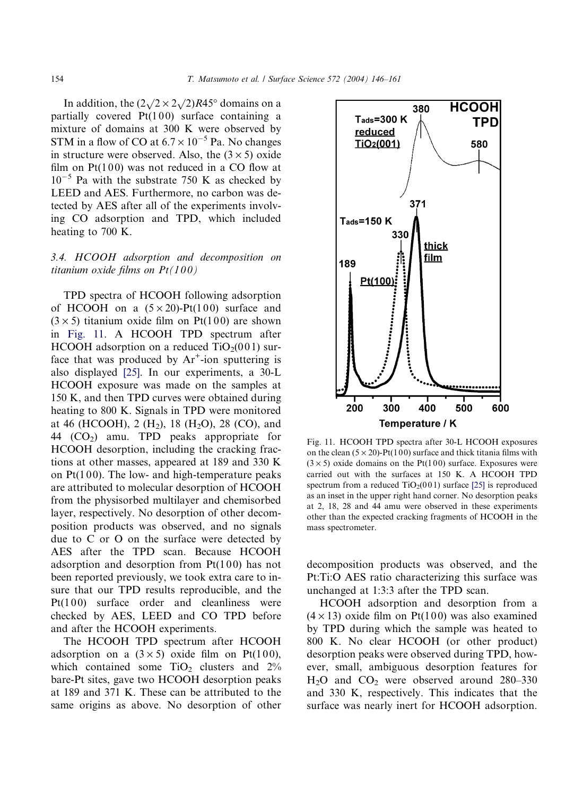In addition, the  $(2\sqrt{2} \times 2\sqrt{2})R45^\circ$  domains on a partially covered  $Pt(100)$  surface containing a mixture of domains at 300 K were observed by STM in a flow of CO at  $6.7 \times 10^{-5}$  Pa. No changes in structure were observed. Also, the  $(3 \times 5)$  oxide film on  $Pt(100)$  was not reduced in a CO flow at  $10^{-5}$  Pa with the substrate 750 K as checked by LEED and AES. Furthermore, no carbon was detected by AES after all of the experiments involving CO adsorption and TPD, which included heating to 700 K.

## 3.4. HCOOH adsorption and decomposition on titanium oxide films on  $Pt(100)$

TPD spectra of HCOOH following adsorption of HCOOH on a  $(5 \times 20)$ -Pt $(100)$  surface and  $(3 \times 5)$  titanium oxide film on Pt(100) are shown in Fig. 11. A HCOOH TPD spectrum after HCOOH adsorption on a reduced  $TiO<sub>2</sub>(001)$  surface that was produced by  $Ar^+$ -ion sputtering is also displayed [\[25\].](#page-14-0) In our experiments, a 30-L HCOOH exposure was made on the samples at 150 K, and then TPD curves were obtained during heating to 800 K. Signals in TPD were monitored at 46 (HCOOH), 2 (H<sub>2</sub>), 18 (H<sub>2</sub>O), 28 (CO), and 44  $(CO<sub>2</sub>)$  amu. TPD peaks appropriate for HCOOH desorption, including the cracking fractions at other masses, appeared at 189 and 330 K on  $Pt(100)$ . The low- and high-temperature peaks are attributed to molecular desorption of HCOOH from the physisorbed multilayer and chemisorbed layer, respectively. No desorption of other decomposition products was observed, and no signals due to C or O on the surface were detected by AES after the TPD scan. Because HCOOH adsorption and desorption from  $Pt(100)$  has not been reported previously, we took extra care to insure that our TPD results reproducible, and the  $Pt(100)$  surface order and cleanliness were checked by AES, LEED and CO TPD before and after the HCOOH experiments.

The HCOOH TPD spectrum after HCOOH adsorption on a  $(3 \times 5)$  oxide film on Pt(100), which contained some  $TiO<sub>2</sub>$  clusters and  $2\%$ bare-Pt sites, gave two HCOOH desorption peaks at 189 and 371 K. These can be attributed to the same origins as above. No desorption of other



Fig. 11. HCOOH TPD spectra after 30-L HCOOH exposures on the clean  $(5 \times 20)$ -Pt(100) surface and thick titania films with  $(3 \times 5)$  oxide domains on the Pt(100) surface. Exposures were carried out with the surfaces at 150 K. A HCOOH TPD spectrum from a reduced  $TiO<sub>2</sub>(001)$  surface [\[25\]](#page-14-0) is reproduced as an inset in the upper right hand corner. No desorption peaks at 2, 18, 28 and 44 amu were observed in these experiments other than the expected cracking fragments of HCOOH in the mass spectrometer.

decomposition products was observed, and the Pt:Ti:O AES ratio characterizing this surface was unchanged at 1:3:3 after the TPD scan.

HCOOH adsorption and desorption from a  $(4 \times 13)$  oxide film on Pt(100) was also examined by TPD during which the sample was heated to 800 K. No clear HCOOH (or other product) desorption peaks were observed during TPD, however, small, ambiguous desorption features for  $H<sub>2</sub>O$  and  $CO<sub>2</sub>$  were observed around 280–330 and 330 K, respectively. This indicates that the surface was nearly inert for HCOOH adsorption.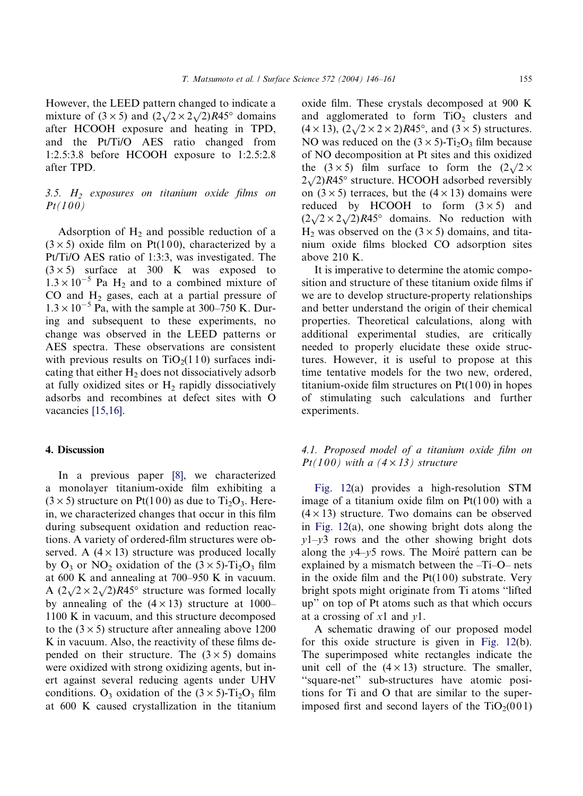However, the LEED pattern changed to indicate a mixture of  $(3 \times 5)$  and  $(2\sqrt{2} \times 2\sqrt{2})R45^\circ$  domains after HCOOH exposure and heating in TPD, and the Pt/Ti/O AES ratio changed from 1:2.5:3.8 before HCOOH exposure to 1:2.5:2.8 after TPD.

## $3.5.$  H<sub>2</sub> exposures on titanium oxide films on  $Pt(100)$

Adsorption of  $H_2$  and possible reduction of a  $(3 \times 5)$  oxide film on Pt(100), characterized by a Pt/Ti/O AES ratio of 1:3:3, was investigated. The  $(3 \times 5)$  surface at 300 K was exposed to  $1.3 \times 10^{-5}$  Pa H<sub>2</sub> and to a combined mixture of CO and  $H_2$  gases, each at a partial pressure of  $1.3 \times 10^{-5}$  Pa, with the sample at 300–750 K. During and subsequent to these experiments, no change was observed in the LEED patterns or AES spectra. These observations are consistent with previous results on  $TiO<sub>2</sub>(110)$  surfaces indicating that either  $H_2$  does not dissociatively adsorb at fully oxidized sites or  $H_2$  rapidly dissociatively adsorbs and recombines at defect sites with O vacancies [\[15,16\]](#page-14-0).

# 4. Discussion

In a previous paper [\[8\]](#page-14-0), we characterized a monolayer titanium-oxide film exhibiting a  $(3 \times 5)$  structure on Pt(100) as due to Ti<sub>2</sub>O<sub>3</sub>. Herein, we characterized changes that occur in this film during subsequent oxidation and reduction reactions. A variety of ordered-film structures were observed. A  $(4 \times 13)$  structure was produced locally by  $O_3$  or  $NO_2$  oxidation of the  $(3 \times 5)$ -Ti<sub>2</sub>O<sub>3</sub> film at 600 K and annealing at 700–950 K in vacuum. A  $(2\sqrt{2} \times 2\sqrt{2})R45^\circ$  structure was formed locally by annealing of the  $(4 \times 13)$  structure at 1000– 1100 K in vacuum, and this structure decomposed to the  $(3 \times 5)$  structure after annealing above 1200 K in vacuum. Also, the reactivity of these films depended on their structure. The  $(3 \times 5)$  domains were oxidized with strong oxidizing agents, but inert against several reducing agents under UHV conditions. O<sub>3</sub> oxidation of the  $(3 \times 5)$ -Ti<sub>2</sub>O<sub>3</sub> film at 600 K caused crystallization in the titanium

oxide film. These crystals decomposed at 900 K and agglomerated to form  $TiO<sub>2</sub>$  clusters and  $(4 \times 13)$ ,  $(2\sqrt{2} \times 2 \times 2)R45^{\circ}$ , and  $(3 \times 5)$  structures. NO was reduced on the  $(3 \times 5)$ -Ti<sub>2</sub>O<sub>3</sub> film because of NO decomposition at Pt sites and this oxidized the  $(3 \times 5)$  film surface to form the  $(2\sqrt{2} \times$  $2\sqrt{2}$ )R45° structure. HCOOH adsorbed reversibly on  $(3 \times 5)$  terraces, but the  $(4 \times 13)$  domains were reduced by HCOOH to form  $(3 \times 5)$  and reduced by HCOOH to form  $(3 \times 3)$  and  $(2\sqrt{2} \times 2\sqrt{2})R45^\circ$  domains. No reduction with  $H<sub>2</sub>$  was observed on the (3  $\times$  5) domains, and titanium oxide films blocked CO adsorption sites above 210 K.

It is imperative to determine the atomic composition and structure of these titanium oxide films if we are to develop structure-property relationships and better understand the origin of their chemical properties. Theoretical calculations, along with additional experimental studies, are critically needed to properly elucidate these oxide structures. However, it is useful to propose at this time tentative models for the two new, ordered, titanium-oxide film structures on  $Pt(100)$  in hopes of stimulating such calculations and further experiments.

# 4.1. Proposed model of a titanium oxide film on  $Pt(100)$  with a  $(4 \times 13)$  structure

[Fig. 12\(](#page-10-0)a) provides a high-resolution STM image of a titanium oxide film on  $Pt(100)$  with a  $(4 \times 13)$  structure. Two domains can be observed in [Fig. 12](#page-10-0)(a), one showing bright dots along the  $y1-y3$  rows and the other showing bright dots along the  $y4-y5$  rows. The Moiré pattern can be explained by a mismatch between the –Ti–O– nets in the oxide film and the  $Pt(100)$  substrate. Very bright spots might originate from Ti atoms ''lifted up'' on top of Pt atoms such as that which occurs at a crossing of x1 and y1.

A schematic drawing of our proposed model for this oxide structure is given in [Fig. 12\(](#page-10-0)b). The superimposed white rectangles indicate the unit cell of the  $(4 \times 13)$  structure. The smaller, ''square-net'' sub-structures have atomic positions for Ti and O that are similar to the superimposed first and second layers of the  $TiO<sub>2</sub>(001)$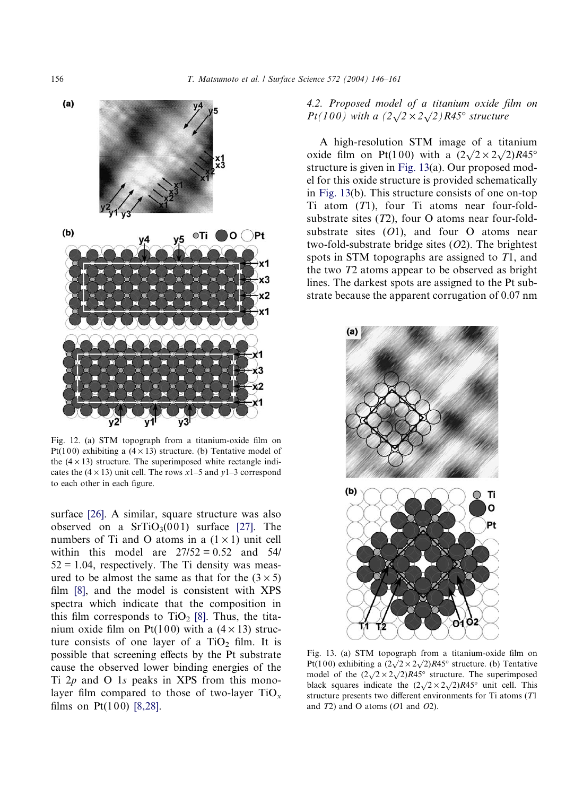<span id="page-10-0"></span>

Fig. 12. (a) STM topograph from a titanium-oxide film on Pt(100) exhibiting a  $(4 \times 13)$  structure. (b) Tentative model of the  $(4 \times 13)$  structure. The superimposed white rectangle indicates the  $(4 \times 13)$  unit cell. The rows x1–5 and y1–3 correspond to each other in each figure.

surface [\[26\]](#page-14-0). A similar, square structure was also observed on a  $SrTiO<sub>3</sub>(001)$  surface [\[27\]](#page-14-0). The numbers of Ti and O atoms in a  $(1 \times 1)$  unit cell within this model are  $27/52 = 0.52$  and 54/  $52 = 1.04$ , respectively. The Ti density was measured to be almost the same as that for the  $(3 \times 5)$ film [\[8\],](#page-14-0) and the model is consistent with XPS spectra which indicate that the composition in this film corresponds to  $TiO<sub>2</sub>$  [\[8\]](#page-14-0). Thus, the titanium oxide film on Pt(100) with a  $(4 \times 13)$  structure consists of one layer of a  $TiO<sub>2</sub>$  film. It is possible that screening effects by the Pt substrate cause the observed lower binding energies of the Ti  $2p$  and O 1s peaks in XPS from this monolayer film compared to those of two-layer  $TiO_x$ films on  $Pt(100)$  [\[8,28\]](#page-14-0).

4.2. Proposed model of a titanium oxide film on **Pt**(100) with a  $(2\sqrt{2} \times 2\sqrt{2})$  R45° structure

A high-resolution STM image of a titanium oxide film on Pt(100) with a  $(2\sqrt{2} \times 2\sqrt{2})R45^\circ$ structure is given in Fig. 13(a). Our proposed model for this oxide structure is provided schematically in Fig. 13(b). This structure consists of one on-top Ti atom  $(T1)$ , four Ti atoms near four-foldsubstrate sites  $(T2)$ , four O atoms near four-foldsubstrate sites  $(01)$ , and four O atoms near two-fold-substrate bridge sites  $(O2)$ . The brightest spots in STM topographs are assigned to T1, and the two T2 atoms appear to be observed as bright lines. The darkest spots are assigned to the Pt substrate because the apparent corrugation of 0.07 nm



Fig. 13. (a) STM topograph from a titanium-oxide film on Pt(100) exhibiting a  $(2\sqrt{2} \times 2\sqrt{2})R45^\circ$  structure. (b) Tentative model of the  $(2\sqrt{2} \times 2\sqrt{2})R45^\circ$  structure. The superimposed black squares indicate the  $(2\sqrt{2} \times 2\sqrt{2})R45^\circ$  unit cell. This structure presents two different environments for Ti atoms (T1 and  $T2$ ) and O atoms ( $O1$  and  $O2$ ).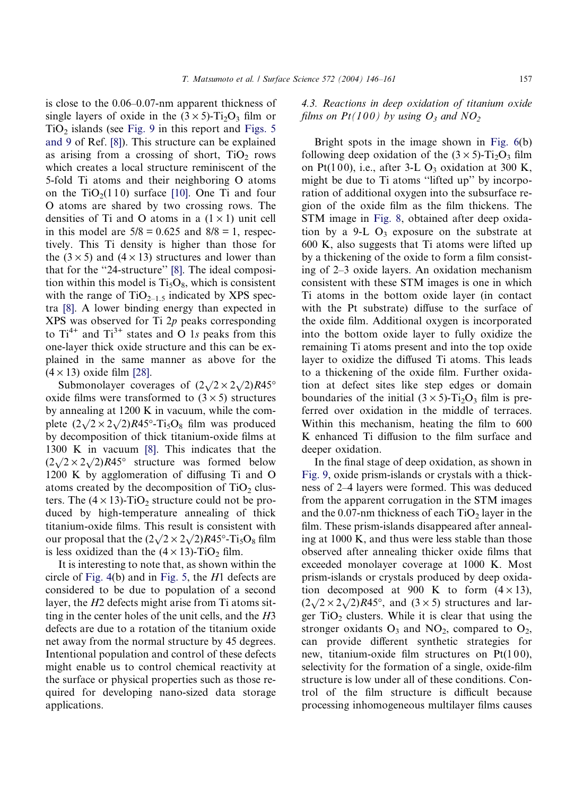is close to the 0.06–0.07-nm apparent thickness of single layers of oxide in the  $(3 \times 5)$ -Ti<sub>2</sub>O<sub>3</sub> film or  $TiO<sub>2</sub>$  islands (see [Fig. 9](#page-6-0) in this report and [Figs. 5](#page-5-0) [and 9](#page-5-0) of Ref. [\[8\]\)](#page-14-0). This structure can be explained as arising from a crossing of short,  $TiO<sub>2</sub>$  rows which creates a local structure reminiscent of the 5-fold Ti atoms and their neighboring O atoms on the  $TiO<sub>2</sub>(110)$  surface [\[10\].](#page-14-0) One Ti and four O atoms are shared by two crossing rows. The densities of Ti and O atoms in a  $(1 \times 1)$  unit cell in this model are  $5/8 = 0.625$  and  $8/8 = 1$ , respectively. This Ti density is higher than those for the  $(3 \times 5)$  and  $(4 \times 13)$  structures and lower than that for the "24-structure" [\[8\]](#page-14-0). The ideal composition within this model is  $Ti<sub>5</sub>O<sub>8</sub>$ , which is consistent with the range of  $TiO_{2-1.5}$  indicated by XPS spectra [\[8\]](#page-14-0). A lower binding energy than expected in XPS was observed for Ti 2p peaks corresponding to  $Ti^{4+}$  and  $Ti^{3+}$  states and O 1s peaks from this one-layer thick oxide structure and this can be explained in the same manner as above for the  $(4 \times 13)$  oxide film [\[28\].](#page-14-0)

Submonolayer coverages of  $(2\sqrt{2} \times 2\sqrt{2})R45^\circ$ oxide films were transformed to  $(3 \times 5)$  structures by annealing at 1200 K in vacuum, while the comby annealing at 1200 K in vacuum, while the complete  $(2\sqrt{2} \times 2\sqrt{2})R45^\circ$ -Ti<sub>5</sub>O<sub>8</sub> film was produced by decomposition of thick titanium-oxide films at 1300 K in vacuum [\[8\].](#page-14-0) This indicates that the  $(2\sqrt{2} \times 2\sqrt{2})R45^{\circ}$  structure was formed below 1200 K by agglomeration of diffusing Ti and O atoms created by the decomposition of  $TiO<sub>2</sub>$  clusters. The  $(4 \times 13)$ -TiO<sub>2</sub> structure could not be produced by high-temperature annealing of thick titanium-oxide films. This result is consistent with our proposal that the  $(2\sqrt{2} \times 2\sqrt{2})R45^\circ$ -Ti<sub>5</sub>O<sub>8</sub> film is less oxidized than the  $(4 \times 13)$ -TiO<sub>2</sub> film.

It is interesting to note that, as shown within the circle of [Fig. 4](#page-4-0)(b) and in [Fig. 5,](#page-5-0) the H1 defects are considered to be due to population of a second layer, the H2 defects might arise from Ti atoms sitting in the center holes of the unit cells, and the H3 defects are due to a rotation of the titanium oxide net away from the normal structure by 45 degrees. Intentional population and control of these defects might enable us to control chemical reactivity at the surface or physical properties such as those required for developing nano-sized data storage applications.

## 4.3. Reactions in deep oxidation of titanium oxide films on  $Pt(100)$  by using  $O_3$  and  $NO_2$

Bright spots in the image shown in [Fig. 6\(](#page-5-0)b) following deep oxidation of the  $(3 \times 5)$ -Ti<sub>2</sub>O<sub>3</sub> film on Pt(100), i.e., after 3-L  $O_3$  oxidation at 300 K, might be due to Ti atoms ''lifted up'' by incorporation of additional oxygen into the subsurface region of the oxide film as the film thickens. The STM image in [Fig. 8,](#page-6-0) obtained after deep oxidation by a 9-L  $O_3$  exposure on the substrate at 600 K, also suggests that Ti atoms were lifted up by a thickening of the oxide to form a film consisting of 2–3 oxide layers. An oxidation mechanism consistent with these STM images is one in which Ti atoms in the bottom oxide layer (in contact with the Pt substrate) diffuse to the surface of the oxide film. Additional oxygen is incorporated into the bottom oxide layer to fully oxidize the remaining Ti atoms present and into the top oxide layer to oxidize the diffused Ti atoms. This leads to a thickening of the oxide film. Further oxidation at defect sites like step edges or domain boundaries of the initial  $(3 \times 5)$ -Ti<sub>2</sub>O<sub>3</sub> film is preferred over oxidation in the middle of terraces. Within this mechanism, heating the film to 600 K enhanced Ti diffusion to the film surface and deeper oxidation.

In the final stage of deep oxidation, as shown in [Fig. 9](#page-6-0), oxide prism-islands or crystals with a thickness of 2–4 layers were formed. This was deduced from the apparent corrugation in the STM images and the 0.07-nm thickness of each  $TiO<sub>2</sub>$  layer in the film. These prism-islands disappeared after annealing at 1000 K, and thus were less stable than those observed after annealing thicker oxide films that exceeded monolayer coverage at 1000 K. Most prism-islands or crystals produced by deep oxidation decomposed at 900 K to form  $(4 \times 13)$ ,  $(2\sqrt{2} \times 2\sqrt{2})R45^\circ$ , and  $(3 \times 5)$  structures and larger  $TiO<sub>2</sub>$  clusters. While it is clear that using the stronger oxidants  $O_3$  and  $NO_2$ , compared to  $O_2$ , can provide different synthetic strategies for new, titanium-oxide film structures on  $Pt(100)$ , selectivity for the formation of a single, oxide-film structure is low under all of these conditions. Control of the film structure is difficult because processing inhomogeneous multilayer films causes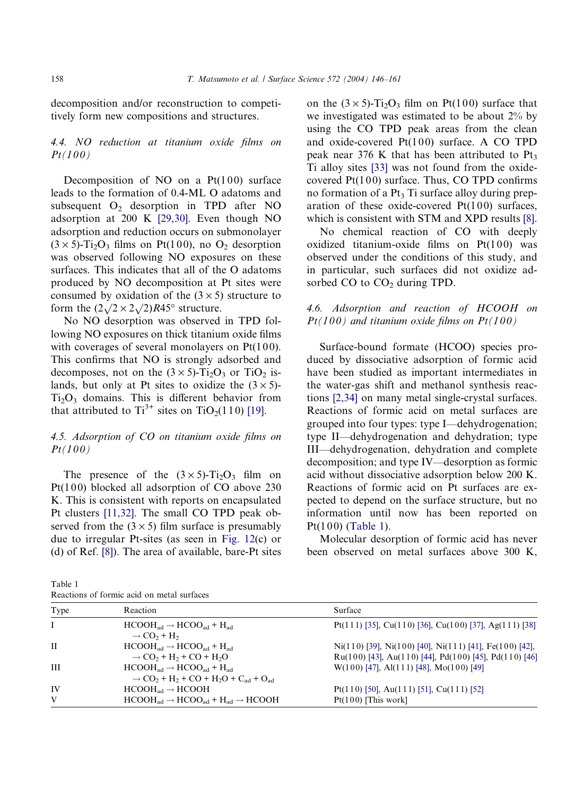decomposition and/or reconstruction to competitively form new compositions and structures.

# 4.4. NO reduction at titanium oxide films on  $Pt(100)$

Decomposition of NO on a  $Pt(100)$  surface leads to the formation of 0.4-ML O adatoms and subsequent  $O<sub>2</sub>$  desorption in TPD after NO adsorption at 200 K [\[29,30\]](#page-14-0). Even though NO adsorption and reduction occurs on submonolayer  $(3 \times 5)$ -Ti<sub>2</sub>O<sub>3</sub> films on Pt(100), no O<sub>2</sub> desorption was observed following NO exposures on these surfaces. This indicates that all of the O adatoms produced by NO decomposition at Pt sites were consumed by oxidation of the  $(3 \times 5)$  structure to form the  $(2\sqrt{2} \times 2\sqrt{2})R45^{\circ}$  structure.

No NO desorption was observed in TPD following NO exposures on thick titanium oxide films with coverages of several monolayers on  $Pt(100)$ . This confirms that NO is strongly adsorbed and decomposes, not on the  $(3 \times 5)$ -Ti<sub>2</sub>O<sub>3</sub> or TiO<sub>2</sub> islands, but only at Pt sites to oxidize the  $(3 \times 5)$ - $Ti<sub>2</sub>O<sub>3</sub>$  domains. This is different behavior from that attributed to  $Ti^{3+}$  sites on  $TiO<sub>2</sub>(110)$  [\[19\].](#page-14-0)

## 4.5. Adsorption of CO on titanium oxide films on  $Pt(100)$

The presence of the  $(3 \times 5)$ -Ti<sub>2</sub>O<sub>3</sub> film on Pt(100) blocked all adsorption of CO above  $230$ K. This is consistent with reports on encapsulated Pt clusters [\[11,32\]](#page-14-0). The small CO TPD peak observed from the  $(3 \times 5)$  film surface is presumably due to irregular Pt-sites (as seen in [Fig. 12](#page-10-0)(c) or (d) of Ref. [\[8\]\)](#page-14-0). The area of available, bare-Pt sites

Table 1

on the  $(3 \times 5)$ -Ti<sub>2</sub>O<sub>3</sub> film on Pt(100) surface that we investigated was estimated to be about 2% by using the CO TPD peak areas from the clean and oxide-covered  $Pt(100)$  surface. A CO TPD peak near 376 K that has been attributed to  $Pt_3$ Ti alloy sites [\[33\]](#page-15-0) was not found from the oxidecovered  $Pt(100)$  surface. Thus, CO TPD confirms no formation of a  $Pt_3$  Ti surface alloy during preparation of these oxide-covered  $Pt(100)$  surfaces, which is consistent with STM and XPD results [\[8\]](#page-14-0).

No chemical reaction of CO with deeply oxidized titanium-oxide films on  $Pt(100)$  was observed under the conditions of this study, and in particular, such surfaces did not oxidize adsorbed CO to CO<sub>2</sub> during TPD.

4.6. Adsorption and reaction of HCOOH on  $Pt(100)$  and titanium oxide films on  $Pt(100)$ 

Surface-bound formate (HCOO) species produced by dissociative adsorption of formic acid have been studied as important intermediates in the water-gas shift and methanol synthesis reactions [\[2,34\]](#page-14-0) on many metal single-crystal surfaces. Reactions of formic acid on metal surfaces are grouped into four types: type I—dehydrogenation; type II—dehydrogenation and dehydration; type III—dehydrogenation, dehydration and complete decomposition; and type IV—desorption as formic acid without dissociative adsorption below 200 K. Reactions of formic acid on Pt surfaces are expected to depend on the surface structure, but no information until now has been reported on  $Pt(100)$  (Table 1).

Molecular desorption of formic acid has never been observed on metal surfaces above 300 K,

| Reactions of formic acid on metal surfaces |                                                                                                            |                                                                 |
|--------------------------------------------|------------------------------------------------------------------------------------------------------------|-----------------------------------------------------------------|
| Type                                       | Reaction                                                                                                   | Surface                                                         |
| 1                                          | $HCOOH_{ad} \rightarrow HCOO_{ad} + H_{ad}$<br>$\rightarrow$ CO <sub>2</sub> + H <sub>2</sub>              | Pt(111) [35], Cu(110) [36], Cu(100) [37], Ag(111) [38]          |
| H                                          | $HCOOHad \rightarrow HCOOad + Had$                                                                         | $Ni(110)$ [39], $Ni(100)$ [40], $Ni(111)$ [41], $Fe(100)$ [42], |
|                                            | $\rightarrow$ CO <sub>2</sub> + H <sub>2</sub> + CO + H <sub>2</sub> O                                     | Ru(100) [43], Au(110) [44], Pd(100) [45], Pd(110) [46]          |
| Ш                                          | $HCOOH_{ad} \rightarrow HCOO_{ad} + H_{ad}$                                                                | $W(100)$ [47], Al(111) [48], Mo(100) [49]                       |
|                                            | $\rightarrow$ CO <sub>2</sub> + H <sub>2</sub> + CO + H <sub>2</sub> O + C <sub>ad</sub> + O <sub>ad</sub> |                                                                 |
| IV                                         | $HCOOH_{ad} \rightarrow HCOOH$                                                                             | Pt(110) [50], Au(111) [51], Cu(111) [52]                        |
| V                                          | $HCOOH_{ad} \rightarrow HCOO_{ad} + H_{ad} \rightarrow HCOOH$                                              | $Pt(100)$ [This work]                                           |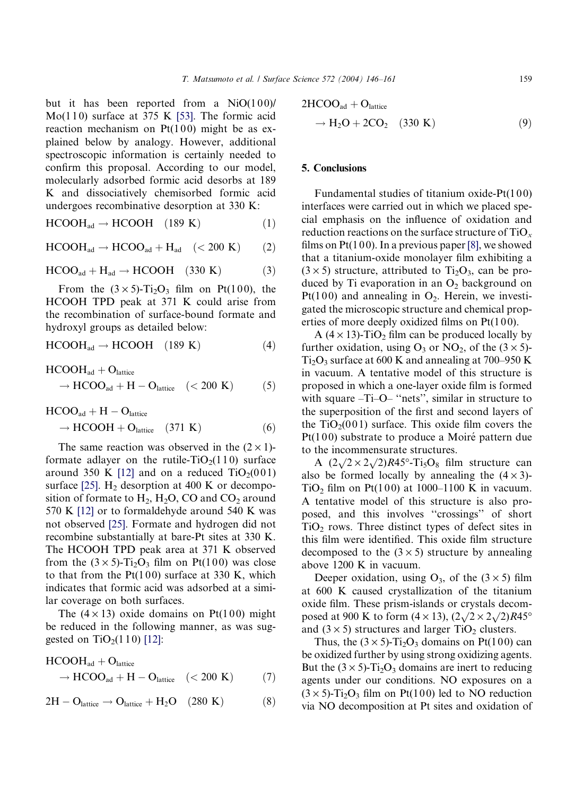but it has been reported from a  $NiO(100)/$ Mo(110) surface at 375 K [\[53\]](#page-15-0). The formic acid reaction mechanism on  $Pt(100)$  might be as explained below by analogy. However, additional spectroscopic information is certainly needed to confirm this proposal. According to our model, molecularly adsorbed formic acid desorbs at 189 K and dissociatively chemisorbed formic acid undergoes recombinative desorption at 330 K:

$$
HCOOHad \to HCOOH \quad (189 K)
$$
 (1)

 $HCOOH_{ad} \rightarrow HCOO_{ad} + H_{ad}$  (< 200 K) (2)

$$
HCOO_{ad} + H_{ad} \rightarrow HCOOH \quad (330 K) \tag{3}
$$

From the  $(3 \times 5)$ -Ti<sub>2</sub>O<sub>3</sub> film on Pt(100), the HCOOH TPD peak at 371 K could arise from the recombination of surface-bound formate and hydroxyl groups as detailed below:

$$
HCOOHad \to HCOOH \quad (189 K)
$$
 (4)

$$
HCOOHad + Olattice
$$
  
\n
$$
\rightarrow HCOOad + H - Olattice \quad (<200 K)
$$
 (5)

 $\rm{HCOO}_{ad} + \rm{H} - \rm{O}_{lattice}$  $\rightarrow$  HCOOH + O<sub>lattice</sub> (371 K) (6)

The same reaction was observed in the  $(2 \times 1)$ formate adlayer on the rutile- $TiO<sub>2</sub>(110)$  surface around 350 K [\[12\]](#page-14-0) and on a reduced  $TiO<sub>2</sub>(001)$ surface [\[25\]](#page-14-0).  $H_2$  desorption at 400 K or decomposition of formate to  $H_2$ ,  $H_2O$ , CO and CO<sub>2</sub> around 570 K [\[12\]](#page-14-0) or to formaldehyde around 540 K was not observed [\[25\].](#page-14-0) Formate and hydrogen did not recombine substantially at bare-Pt sites at 330 K. The HCOOH TPD peak area at 371 K observed from the  $(3 \times 5)$ -Ti<sub>2</sub>O<sub>3</sub> film on Pt(100) was close to that from the  $Pt(100)$  surface at 330 K, which indicates that formic acid was adsorbed at a similar coverage on both surfaces.

The  $(4 \times 13)$  oxide domains on Pt(100) might be reduced in the following manner, as was suggested on  $TiO<sub>2</sub>(110)$  [\[12\]](#page-14-0):

$$
HCOOHad + Olattice
$$
  

$$
\rightarrow HCOOad + H - Olattice \quad (<200 \text{ K}) \tag{7}
$$

$$
2H-O_{lattice} \rightarrow O_{lattice} + H_2O \quad (280~K) \qquad \qquad (8)
$$

$$
2HCOOad + Olattice
$$
  

$$
\rightarrow H2O + 2CO2 (330 K)
$$
 (9)

#### 5. Conclusions

Fundamental studies of titanium oxide- $Pt(100)$ interfaces were carried out in which we placed special emphasis on the influence of oxidation and reduction reactions on the surface structure of  $TiO_x$ films on  $Pt(100)$ . In a previous paper [\[8\]](#page-14-0), we showed that a titanium-oxide monolayer film exhibiting a  $(3 \times 5)$  structure, attributed to Ti<sub>2</sub>O<sub>3</sub>, can be produced by Ti evaporation in an  $O_2$  background on  $Pt(100)$  and annealing in  $O_2$ . Herein, we investigated the microscopic structure and chemical properties of more deeply oxidized films on  $Pt(100)$ .

A ( $4 \times 13$ )-TiO<sub>2</sub> film can be produced locally by further oxidation, using  $O_3$  or  $NO_2$ , of the  $(3 \times 5)$ - $Ti<sub>2</sub>O<sub>3</sub>$  surface at 600 K and annealing at 700–950 K in vacuum. A tentative model of this structure is proposed in which a one-layer oxide film is formed with square –Ti–O– "nets", similar in structure to the superposition of the first and second layers of the  $TiO<sub>2</sub>(001)$  surface. This oxide film covers the  $Pt(100)$  substrate to produce a Moiré pattern due to the incommensurate structures.

A  $(2\sqrt{2} \times 2\sqrt{2})R45^\circ$ -Ti<sub>5</sub>O<sub>8</sub> film structure can also be formed locally by annealing the  $(4 \times 3)$ -TiO<sub>2</sub> film on Pt(100) at 1000–1100 K in vacuum. A tentative model of this structure is also proposed, and this involves ''crossings'' of short  $TiO<sub>2</sub>$  rows. Three distinct types of defect sites in this film were identified. This oxide film structure decomposed to the  $(3 \times 5)$  structure by annealing above 1200 K in vacuum.

Deeper oxidation, using  $O_3$ , of the  $(3 \times 5)$  film at 600 K caused crystallization of the titanium oxide film. These prism-islands or crystals decomposed at 900 K to form  $(4 \times 13)$ ,  $(2\sqrt{2} \times 2\sqrt{2})R45^{\circ}$ and  $(3 \times 5)$  structures and larger TiO<sub>2</sub> clusters.

Thus, the  $(3 \times 5)$ -Ti<sub>2</sub>O<sub>3</sub> domains on Pt(100) can be oxidized further by using strong oxidizing agents. But the  $(3 \times 5)$ -Ti<sub>2</sub>O<sub>3</sub> domains are inert to reducing agents under our conditions. NO exposures on a  $(3 \times 5)$ -Ti<sub>2</sub>O<sub>3</sub> film on Pt(100) led to NO reduction via NO decomposition at Pt sites and oxidation of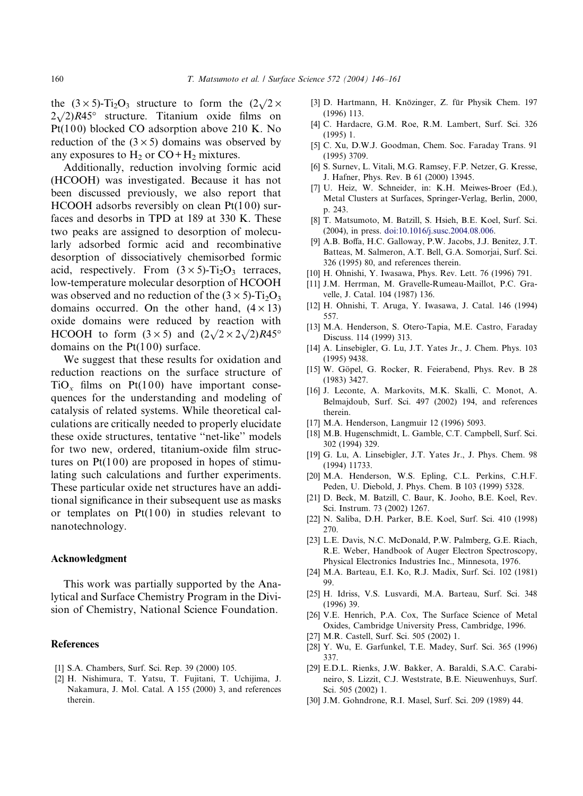<span id="page-14-0"></span>the  $(3 \times 5)$ -Ti<sub>2</sub>O<sub>3</sub> structure to form the  $(2\sqrt{2} \times$  $2\sqrt{2}$ ,  $R45^\circ$  structure. Titanium oxide films on Pt(100) blocked CO adsorption above 210 K. No reduction of the  $(3 \times 5)$  domains was observed by any exposures to  $H_2$  or  $CO + H_2$  mixtures.

Additionally, reduction involving formic acid (HCOOH) was investigated. Because it has not been discussed previously, we also report that HCOOH adsorbs reversibly on clean  $Pt(100)$  surfaces and desorbs in TPD at 189 at 330 K. These two peaks are assigned to desorption of molecularly adsorbed formic acid and recombinative desorption of dissociatively chemisorbed formic acid, respectively. From  $(3 \times 5)$ -Ti<sub>2</sub>O<sub>3</sub> terraces, low-temperature molecular desorption of HCOOH was observed and no reduction of the  $(3 \times 5)$ -Ti<sub>2</sub>O<sub>3</sub> domains occurred. On the other hand,  $(4 \times 13)$ oxide domains were reduced by reaction with HCOOH to form  $(3 \times 5)$  and  $(2\sqrt{2} \times 2\sqrt{2})R45^\circ$ domains on the  $Pt(100)$  surface.

We suggest that these results for oxidation and reduction reactions on the surface structure of  $TiO<sub>x</sub>$  films on Pt(100) have important consequences for the understanding and modeling of catalysis of related systems. While theoretical calculations are critically needed to properly elucidate these oxide structures, tentative ''net-like'' models for two new, ordered, titanium-oxide film structures on  $Pt(100)$  are proposed in hopes of stimulating such calculations and further experiments. These particular oxide net structures have an additional significance in their subsequent use as masks or templates on  $Pt(100)$  in studies relevant to nanotechnology.

#### Acknowledgment

This work was partially supported by the Analytical and Surface Chemistry Program in the Division of Chemistry, National Science Foundation.

## **References**

- [1] S.A. Chambers, Surf. Sci. Rep. 39 (2000) 105.
- [2] H. Nishimura, T. Yatsu, T. Fujitani, T. Uchijima, J. Nakamura, J. Mol. Catal. A 155 (2000) 3, and references therein.
- [3] D. Hartmann, H. Knözinger, Z. für Physik Chem. 197 (1996) 113.
- [4] C. Hardacre, G.M. Roe, R.M. Lambert, Surf. Sci. 326 (1995) 1.
- [5] C. Xu, D.W.J. Goodman, Chem. Soc. Faraday Trans. 91 (1995) 3709.
- [6] S. Surnev, L. Vitali, M.G. Ramsey, F.P. Netzer, G. Kresse, J. Hafner, Phys. Rev. B 61 (2000) 13945.
- [7] U. Heiz, W. Schneider, in: K.H. Meiwes-Broer (Ed.), Metal Clusters at Surfaces, Springer-Verlag, Berlin, 2000, p. 243.
- [8] T. Matsumoto, M. Batzill, S. Hsieh, B.E. Koel, Surf. Sci. (2004), in press. [doi:10.1016/j.susc.2004.08.006.](http://dx.doi.org/10.1016/j.susc.2004.08.006)
- [9] A.B. Boffa, H.C. Galloway, P.W. Jacobs, J.J. Benitez, J.T. Batteas, M. Salmeron, A.T. Bell, G.A. Somorjai, Surf. Sci. 326 (1995) 80, and references therein.
- [10] H. Ohnishi, Y. Iwasawa, Phys. Rev. Lett. 76 (1996) 791.
- [11] J.M. Herrman, M. Gravelle-Rumeau-Maillot, P.C. Gravelle, J. Catal. 104 (1987) 136.
- [12] H. Ohnishi, T. Aruga, Y. Iwasawa, J. Catal. 146 (1994) 557.
- [13] M.A. Henderson, S. Otero-Tapia, M.E. Castro, Faraday Discuss. 114 (1999) 313.
- [14] A. Linsebigler, G. Lu, J.T. Yates Jr., J. Chem. Phys. 103 (1995) 9438.
- [15] W. Göpel, G. Rocker, R. Feierabend, Phys. Rev. B 28 (1983) 3427.
- [16] J. Leconte, A. Markovits, M.K. Skalli, C. Monot, A. Belmajdoub, Surf. Sci. 497 (2002) 194, and references therein.
- [17] M.A. Henderson, Langmuir 12 (1996) 5093.
- [18] M.B. Hugenschmidt, L. Gamble, C.T. Campbell, Surf. Sci. 302 (1994) 329.
- [19] G. Lu, A. Linsebigler, J.T. Yates Jr., J. Phys. Chem. 98 (1994) 11733.
- [20] M.A. Henderson, W.S. Epling, C.L. Perkins, C.H.F. Peden, U. Diebold, J. Phys. Chem. B 103 (1999) 5328.
- [21] D. Beck, M. Batzill, C. Baur, K. Jooho, B.E. Koel, Rev. Sci. Instrum. 73 (2002) 1267.
- [22] N. Saliba, D.H. Parker, B.E. Koel, Surf. Sci. 410 (1998) 270.
- [23] L.E. Davis, N.C. McDonald, P.W. Palmberg, G.E. Riach, R.E. Weber, Handbook of Auger Electron Spectroscopy, Physical Electronics Industries Inc., Minnesota, 1976.
- [24] M.A. Barteau, E.I. Ko, R.J. Madix, Surf. Sci. 102 (1981) 99.
- [25] H. Idriss, V.S. Lusvardi, M.A. Barteau, Surf. Sci. 348 (1996) 39.
- [26] V.E. Henrich, P.A. Cox, The Surface Science of Metal Oxides, Cambridge University Press, Cambridge, 1996.
- [27] M.R. Castell, Surf. Sci. 505 (2002) 1.
- [28] Y. Wu, E. Garfunkel, T.E. Madey, Surf. Sci. 365 (1996) 337.
- [29] E.D.L. Rienks, J.W. Bakker, A. Baraldi, S.A.C. Carabineiro, S. Lizzit, C.J. Weststrate, B.E. Nieuwenhuys, Surf. Sci. 505 (2002) 1.
- [30] J.M. Gohndrone, R.I. Masel, Surf. Sci. 209 (1989) 44.